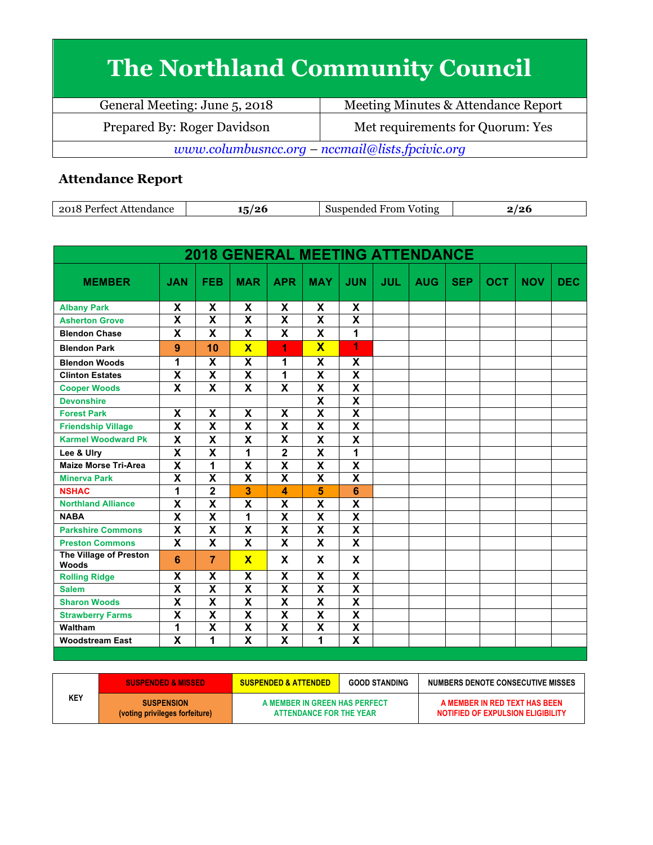## **The Northland Community Council**

| General Meeting: June 5, 2018                   | Meeting Minutes & Attendance Report |  |  |  |
|-------------------------------------------------|-------------------------------------|--|--|--|
| Prepared By: Roger Davidson                     | Met requirements for Quorum: Yes    |  |  |  |
| www.columbusncc.org - nccmail@lists.fpcivic.org |                                     |  |  |  |

## **Attendance Report**

| 2018<br>Attendance<br>Perfect | '26 | Voting<br>Suspended<br>From | ∸⊽ |
|-------------------------------|-----|-----------------------------|----|

| <b>2018 GENERAL MEETING ATTENDANCE</b> |                           |                         |                           |                           |                           |                         |            |            |            |            |            |            |
|----------------------------------------|---------------------------|-------------------------|---------------------------|---------------------------|---------------------------|-------------------------|------------|------------|------------|------------|------------|------------|
| <b>MEMBER</b>                          | <b>JAN</b>                | <b>FEB</b>              | <b>MAR</b>                | <b>APR</b>                | <b>MAY</b>                | <b>JUN</b>              | <b>JUL</b> | <b>AUG</b> | <b>SEP</b> | <b>OCT</b> | <b>NOV</b> | <b>DEC</b> |
| <b>Albany Park</b>                     | X                         | X                       | X                         | X                         | X                         | X                       |            |            |            |            |            |            |
| <b>Asherton Grove</b>                  | $\overline{\mathbf{X}}$   | $\overline{\mathbf{X}}$ | $\overline{\mathsf{x}}$   | $\overline{\mathbf{X}}$   | $\overline{\mathbf{X}}$   | $\overline{\mathbf{X}}$ |            |            |            |            |            |            |
| <b>Blendon Chase</b>                   | X                         | X                       | X                         | X                         | X                         | 1                       |            |            |            |            |            |            |
| <b>Blendon Park</b>                    | 9                         | 10                      | $\overline{\mathbf{x}}$   | 1                         | $\overline{\mathbf{X}}$   | 1                       |            |            |            |            |            |            |
| <b>Blendon Woods</b>                   | 1                         | X                       | $\overline{\mathbf{x}}$   | 1                         | X                         | X                       |            |            |            |            |            |            |
| <b>Clinton Estates</b>                 | X                         | $\overline{\mathbf{x}}$ | $\overline{\mathbf{x}}$   | 1                         | $\overline{\mathbf{x}}$   | $\overline{\mathbf{x}}$ |            |            |            |            |            |            |
| <b>Cooper Woods</b>                    | X                         | X                       | X                         | X                         | $\boldsymbol{\mathsf{x}}$ | X                       |            |            |            |            |            |            |
| <b>Devonshire</b>                      |                           |                         |                           |                           | $\overline{\mathsf{x}}$   | $\overline{\mathbf{x}}$ |            |            |            |            |            |            |
| <b>Forest Park</b>                     | X                         | $\overline{\mathbf{x}}$ | X                         | X                         | $\overline{\mathbf{x}}$   | $\overline{\mathbf{X}}$ |            |            |            |            |            |            |
| <b>Friendship Village</b>              | $\overline{\mathbf{x}}$   | $\overline{\mathbf{x}}$ | $\overline{\mathbf{x}}$   | $\overline{\mathbf{x}}$   | $\overline{\mathbf{x}}$   | $\overline{\mathbf{x}}$ |            |            |            |            |            |            |
| <b>Karmel Woodward Pk</b>              | $\boldsymbol{\mathsf{x}}$ | X                       | X                         | $\boldsymbol{\mathsf{x}}$ | $\mathsf{x}$              | X                       |            |            |            |            |            |            |
| Lee & Ulry                             | X                         | X                       | 1                         | $\mathbf{2}$              | X                         | 1                       |            |            |            |            |            |            |
| <b>Maize Morse Tri-Area</b>            | $\overline{\mathbf{x}}$   | $\mathbf 1$             | $\overline{\mathbf{X}}$   | $\overline{\mathbf{x}}$   | $\overline{\mathbf{x}}$   | $\overline{\mathbf{x}}$ |            |            |            |            |            |            |
| <b>Minerva Park</b>                    | $\overline{\mathsf{x}}$   | $\overline{\mathsf{x}}$ | $\overline{\mathbf{x}}$   | $\overline{\mathbf{x}}$   | $\overline{\mathsf{x}}$   | $\overline{\mathbf{x}}$ |            |            |            |            |            |            |
| <b>NSHAC</b>                           | 1                         | $\overline{\mathbf{2}}$ | 3                         | 4                         | 5                         | $6\phantom{1}$          |            |            |            |            |            |            |
| <b>Northland Alliance</b>              | $\overline{\mathbf{x}}$   | $\overline{\mathsf{x}}$ | X                         | X                         | X                         | X                       |            |            |            |            |            |            |
| <b>NABA</b>                            | $\overline{\mathbf{X}}$   | $\overline{\mathbf{X}}$ | $\overline{\mathbf{1}}$   | $\overline{\mathbf{x}}$   | $\overline{\mathbf{x}}$   | $\overline{\mathbf{X}}$ |            |            |            |            |            |            |
| <b>Parkshire Commons</b>               | $\boldsymbol{\mathsf{x}}$ | X                       | $\boldsymbol{\mathsf{X}}$ | X                         | $\boldsymbol{\mathsf{x}}$ | X                       |            |            |            |            |            |            |
| <b>Preston Commons</b>                 | $\overline{\mathbf{x}}$   | $\overline{\mathbf{x}}$ | $\overline{\mathbf{x}}$   | $\mathbf x$               | $\overline{\mathbf{x}}$   | $\mathbf x$             |            |            |            |            |            |            |
| The Village of Preston<br><b>Woods</b> | 6                         | 7                       | $\overline{\mathbf{x}}$   | X                         | X                         | X                       |            |            |            |            |            |            |
| <b>Rolling Ridge</b>                   | X                         | X                       | X                         | X                         | X                         | X                       |            |            |            |            |            |            |
| <b>Salem</b>                           | $\boldsymbol{\mathsf{x}}$ | X                       | X                         | $\pmb{\mathsf{X}}$        | $\boldsymbol{\mathsf{x}}$ | X                       |            |            |            |            |            |            |
| <b>Sharon Woods</b>                    | $\overline{\mathbf{x}}$   | $\overline{\mathbf{x}}$ | $\overline{\mathbf{x}}$   | $\overline{\mathbf{x}}$   | $\overline{\mathbf{x}}$   | $\overline{\mathbf{x}}$ |            |            |            |            |            |            |
| <b>Strawberry Farms</b>                | X                         | X                       | X                         | X                         | $\boldsymbol{\mathsf{X}}$ | X                       |            |            |            |            |            |            |
| Waltham                                | 1                         | X                       | $\overline{\mathsf{x}}$   | $\pmb{\mathsf{X}}$        | $\pmb{\mathsf{X}}$        | $\overline{\mathbf{X}}$ |            |            |            |            |            |            |
| <b>Woodstream East</b>                 | $\overline{\mathbf{x}}$   | 1                       | $\overline{\mathbf{x}}$   | X                         | 1                         | $\overline{\mathbf{x}}$ |            |            |            |            |            |            |

|            | <b>SUSPENDED &amp; MISSED</b>                       | <b>GOOD STANDING</b><br><b>SUSPENDED &amp; ATTENDED</b>  |  | <b>NUMBERS DENOTE CONSECUTIVE MISSES</b>                           |  |
|------------|-----------------------------------------------------|----------------------------------------------------------|--|--------------------------------------------------------------------|--|
| <b>KEY</b> | <b>SUSPENSION</b><br>(voting privileges forfeiture) | A MEMBER IN GREEN HAS PERFECT<br>ATTENDANCE FOR THE YEAR |  | A MEMBER IN RED TEXT HAS BEEN<br>NOTIFIED OF EXPULSION ELIGIBILITY |  |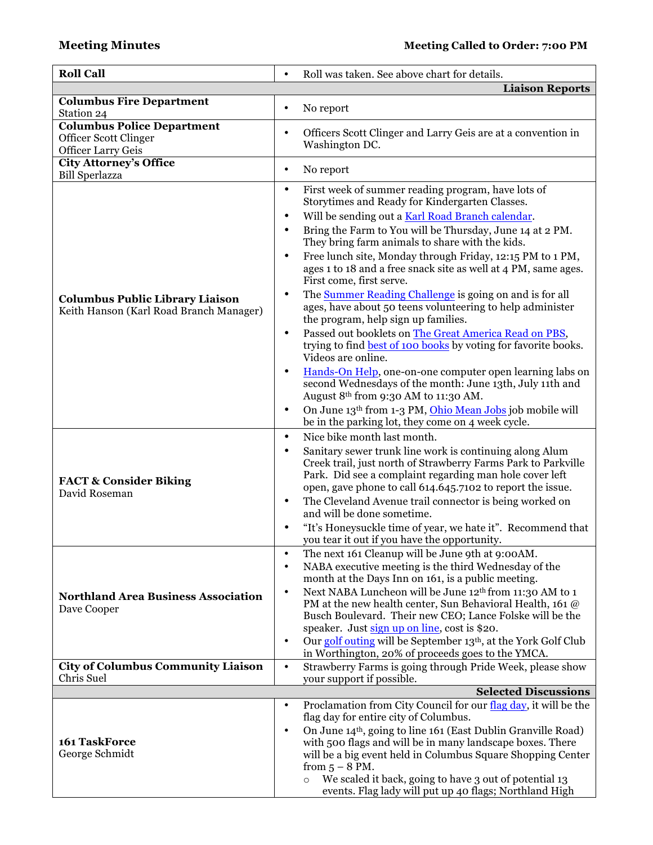| <b>Roll Call</b>                                       | Roll was taken. See above chart for details.                                                                               |
|--------------------------------------------------------|----------------------------------------------------------------------------------------------------------------------------|
|                                                        | <b>Liaison Reports</b>                                                                                                     |
| <b>Columbus Fire Department</b><br>Station 24          | No report<br>٠                                                                                                             |
| <b>Columbus Police Department</b>                      |                                                                                                                            |
| Officer Scott Clinger                                  | Officers Scott Clinger and Larry Geis are at a convention in<br>$\bullet$                                                  |
| <b>Officer Larry Geis</b>                              | Washington DC.                                                                                                             |
| <b>City Attorney's Office</b><br><b>Bill Sperlazza</b> | No report<br>$\bullet$                                                                                                     |
|                                                        | First week of summer reading program, have lots of<br>$\bullet$                                                            |
|                                                        | Storytimes and Ready for Kindergarten Classes.                                                                             |
|                                                        | Will be sending out a Karl Road Branch calendar.<br>$\bullet$                                                              |
|                                                        | Bring the Farm to You will be Thursday, June 14 at 2 PM.<br>٠<br>They bring farm animals to share with the kids.           |
|                                                        | Free lunch site, Monday through Friday, 12:15 PM to 1 PM,<br>$\bullet$                                                     |
|                                                        | ages 1 to 18 and a free snack site as well at 4 PM, same ages.<br>First come, first serve.                                 |
| <b>Columbus Public Library Liaison</b>                 | The Summer Reading Challenge is going on and is for all<br>$\bullet$                                                       |
| Keith Hanson (Karl Road Branch Manager)                | ages, have about 50 teens volunteering to help administer                                                                  |
|                                                        | the program, help sign up families.                                                                                        |
|                                                        | Passed out booklets on The Great America Read on PBS,<br>$\bullet$                                                         |
|                                                        | trying to find best of 100 books by voting for favorite books.<br>Videos are online.                                       |
|                                                        | Hands-On Help, one-on-one computer open learning labs on<br>$\bullet$                                                      |
|                                                        | second Wednesdays of the month: June 13th, July 11th and                                                                   |
|                                                        | August 8th from 9:30 AM to 11:30 AM.                                                                                       |
|                                                        | On June 13th from 1-3 PM, Ohio Mean Jobs job mobile will<br>$\bullet$                                                      |
|                                                        | be in the parking lot, they come on 4 week cycle.                                                                          |
|                                                        | Nice bike month last month.<br>$\bullet$                                                                                   |
|                                                        | Sanitary sewer trunk line work is continuing along Alum<br>$\bullet$                                                       |
|                                                        | Creek trail, just north of Strawberry Farms Park to Parkville<br>Park. Did see a complaint regarding man hole cover left   |
| <b>FACT &amp; Consider Biking</b>                      | open, gave phone to call 614.645.7102 to report the issue.                                                                 |
| David Roseman                                          | The Cleveland Avenue trail connector is being worked on<br>٠                                                               |
|                                                        | and will be done sometime.                                                                                                 |
|                                                        | "It's Honeysuckle time of year, we hate it". Recommend that<br>٠                                                           |
|                                                        | you tear it out if you have the opportunity.                                                                               |
|                                                        | The next 161 Cleanup will be June 9th at 9:00AM.<br>$\bullet$<br>NABA executive meeting is the third Wednesday of the<br>٠ |
|                                                        | month at the Days Inn on 161, is a public meeting.                                                                         |
| <b>Northland Area Business Association</b>             | Next NABA Luncheon will be June 12 <sup>th</sup> from 11:30 AM to 1<br>$\bullet$                                           |
| Dave Cooper                                            | PM at the new health center, Sun Behavioral Health, 161 @                                                                  |
|                                                        | Busch Boulevard. Their new CEO; Lance Folske will be the                                                                   |
|                                                        | speaker. Just sign up on line, cost is \$20.<br>Our golf outing will be September 13th, at the York Golf Club<br>$\bullet$ |
|                                                        | in Worthington, 20% of proceeds goes to the YMCA.                                                                          |
| <b>City of Columbus Community Liaison</b>              | Strawberry Farms is going through Pride Week, please show<br>$\bullet$                                                     |
| Chris Suel                                             | your support if possible.                                                                                                  |
|                                                        | <b>Selected Discussions</b>                                                                                                |
|                                                        | Proclamation from City Council for our flag day, it will be the<br>$\bullet$<br>flag day for entire city of Columbus.      |
|                                                        | On June 14th, going to line 161 (East Dublin Granville Road)<br>$\bullet$                                                  |
| 161 TaskForce                                          | with 500 flags and will be in many landscape boxes. There                                                                  |
| George Schmidt                                         | will be a big event held in Columbus Square Shopping Center                                                                |
|                                                        | from $5 - 8$ PM.                                                                                                           |
|                                                        | We scaled it back, going to have 3 out of potential 13<br>$\circ$                                                          |
|                                                        | events. Flag lady will put up 40 flags; Northland High                                                                     |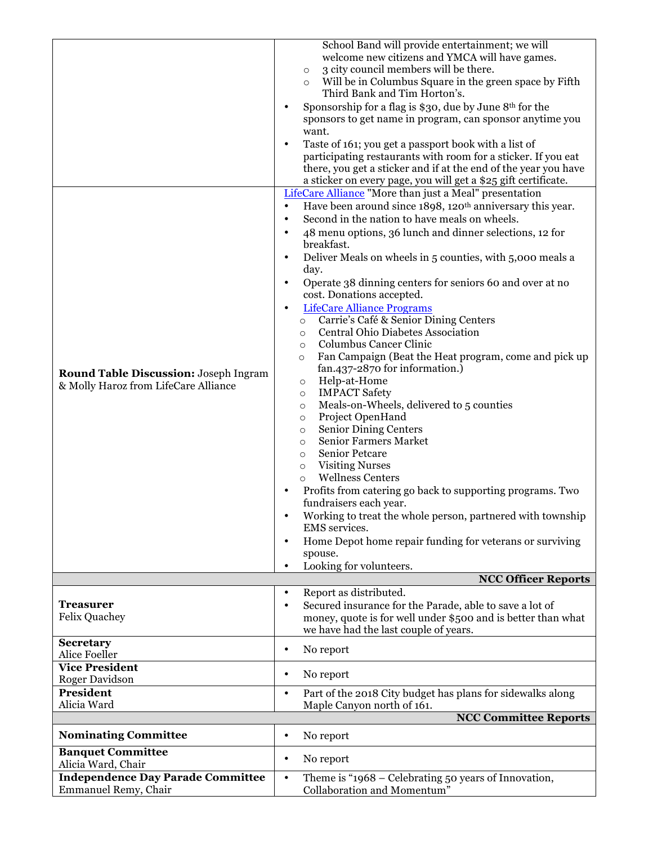| <b>Round Table Discussion: Joseph Ingram</b><br>& Molly Haroz from LifeCare Alliance | School Band will provide entertainment; we will<br>welcome new citizens and YMCA will have games.<br>3 city council members will be there.<br>$\circ$<br>Will be in Columbus Square in the green space by Fifth<br>$\circ$<br>Third Bank and Tim Horton's.<br>Sponsorship for a flag is \$30, due by June 8th for the<br>sponsors to get name in program, can sponsor anytime you<br>want.<br>Taste of 161; you get a passport book with a list of<br>$\bullet$<br>participating restaurants with room for a sticker. If you eat<br>there, you get a sticker and if at the end of the year you have<br>a sticker on every page, you will get a \$25 gift certificate.<br>LifeCare Alliance "More than just a Meal" presentation<br>Have been around since 1898, 120 <sup>th</sup> anniversary this year.<br>$\bullet$<br>Second in the nation to have meals on wheels.<br>$\bullet$<br>48 menu options, 36 lunch and dinner selections, 12 for<br>$\bullet$<br>breakfast.<br>Deliver Meals on wheels in 5 counties, with 5,000 meals a<br>day.<br>Operate 38 dinning centers for seniors 60 and over at no<br>$\bullet$<br>cost. Donations accepted.<br><b>LifeCare Alliance Programs</b><br>$\bullet$<br>Carrie's Café & Senior Dining Centers<br>$\circ$<br><b>Central Ohio Diabetes Association</b><br>$\circ$<br>Columbus Cancer Clinic<br>$\circ$<br>Fan Campaign (Beat the Heat program, come and pick up<br>$\circ$<br>fan.437-2870 for information.)<br>Help-at-Home<br>$\circ$<br><b>IMPACT Safety</b><br>$\circ$<br>Meals-on-Wheels, delivered to 5 counties<br>$\circ$<br>Project OpenHand<br>$\circ$<br><b>Senior Dining Centers</b><br>$\circ$<br><b>Senior Farmers Market</b><br>$\circ$<br>Senior Petcare<br>$\circ$<br><b>Visiting Nurses</b><br>$\circ$<br><b>Wellness Centers</b><br>$\circ$<br>Profits from catering go back to supporting programs. Two<br>fundraisers each year.<br>Working to treat the whole person, partnered with township<br>EMS services.<br>Home Depot home repair funding for veterans or surviving<br>spouse.<br>Looking for volunteers. |
|--------------------------------------------------------------------------------------|----------------------------------------------------------------------------------------------------------------------------------------------------------------------------------------------------------------------------------------------------------------------------------------------------------------------------------------------------------------------------------------------------------------------------------------------------------------------------------------------------------------------------------------------------------------------------------------------------------------------------------------------------------------------------------------------------------------------------------------------------------------------------------------------------------------------------------------------------------------------------------------------------------------------------------------------------------------------------------------------------------------------------------------------------------------------------------------------------------------------------------------------------------------------------------------------------------------------------------------------------------------------------------------------------------------------------------------------------------------------------------------------------------------------------------------------------------------------------------------------------------------------------------------------------------------------------------------------------------------------------------------------------------------------------------------------------------------------------------------------------------------------------------------------------------------------------------------------------------------------------------------------------------------------------------------------------------------------------------------------------------------------------------------------------------------------------------------|
|                                                                                      | <b>NCC Officer Reports</b>                                                                                                                                                                                                                                                                                                                                                                                                                                                                                                                                                                                                                                                                                                                                                                                                                                                                                                                                                                                                                                                                                                                                                                                                                                                                                                                                                                                                                                                                                                                                                                                                                                                                                                                                                                                                                                                                                                                                                                                                                                                             |
| <b>Treasurer</b><br><b>Felix Quachey</b>                                             | Report as distributed.<br>$\bullet$<br>Secured insurance for the Parade, able to save a lot of<br>$\bullet$<br>money, quote is for well under \$500 and is better than what<br>we have had the last couple of years.                                                                                                                                                                                                                                                                                                                                                                                                                                                                                                                                                                                                                                                                                                                                                                                                                                                                                                                                                                                                                                                                                                                                                                                                                                                                                                                                                                                                                                                                                                                                                                                                                                                                                                                                                                                                                                                                   |
| <b>Secretary</b><br>Alice Foeller                                                    | No report<br>$\bullet$                                                                                                                                                                                                                                                                                                                                                                                                                                                                                                                                                                                                                                                                                                                                                                                                                                                                                                                                                                                                                                                                                                                                                                                                                                                                                                                                                                                                                                                                                                                                                                                                                                                                                                                                                                                                                                                                                                                                                                                                                                                                 |
| <b>Vice President</b><br><b>Roger Davidson</b>                                       | No report<br>$\bullet$                                                                                                                                                                                                                                                                                                                                                                                                                                                                                                                                                                                                                                                                                                                                                                                                                                                                                                                                                                                                                                                                                                                                                                                                                                                                                                                                                                                                                                                                                                                                                                                                                                                                                                                                                                                                                                                                                                                                                                                                                                                                 |
| President<br>Alicia Ward                                                             | Part of the 2018 City budget has plans for sidewalks along<br>$\bullet$<br>Maple Canyon north of 161.                                                                                                                                                                                                                                                                                                                                                                                                                                                                                                                                                                                                                                                                                                                                                                                                                                                                                                                                                                                                                                                                                                                                                                                                                                                                                                                                                                                                                                                                                                                                                                                                                                                                                                                                                                                                                                                                                                                                                                                  |
|                                                                                      | <b>NCC Committee Reports</b>                                                                                                                                                                                                                                                                                                                                                                                                                                                                                                                                                                                                                                                                                                                                                                                                                                                                                                                                                                                                                                                                                                                                                                                                                                                                                                                                                                                                                                                                                                                                                                                                                                                                                                                                                                                                                                                                                                                                                                                                                                                           |
| <b>Nominating Committee</b>                                                          | No report<br>٠                                                                                                                                                                                                                                                                                                                                                                                                                                                                                                                                                                                                                                                                                                                                                                                                                                                                                                                                                                                                                                                                                                                                                                                                                                                                                                                                                                                                                                                                                                                                                                                                                                                                                                                                                                                                                                                                                                                                                                                                                                                                         |
| <b>Banquet Committee</b><br>Alicia Ward, Chair                                       | No report<br>$\bullet$                                                                                                                                                                                                                                                                                                                                                                                                                                                                                                                                                                                                                                                                                                                                                                                                                                                                                                                                                                                                                                                                                                                                                                                                                                                                                                                                                                                                                                                                                                                                                                                                                                                                                                                                                                                                                                                                                                                                                                                                                                                                 |
| <b>Independence Day Parade Committee</b><br>Emmanuel Remy, Chair                     | Theme is "1968 - Celebrating 50 years of Innovation,<br>$\bullet$<br>Collaboration and Momentum"                                                                                                                                                                                                                                                                                                                                                                                                                                                                                                                                                                                                                                                                                                                                                                                                                                                                                                                                                                                                                                                                                                                                                                                                                                                                                                                                                                                                                                                                                                                                                                                                                                                                                                                                                                                                                                                                                                                                                                                       |